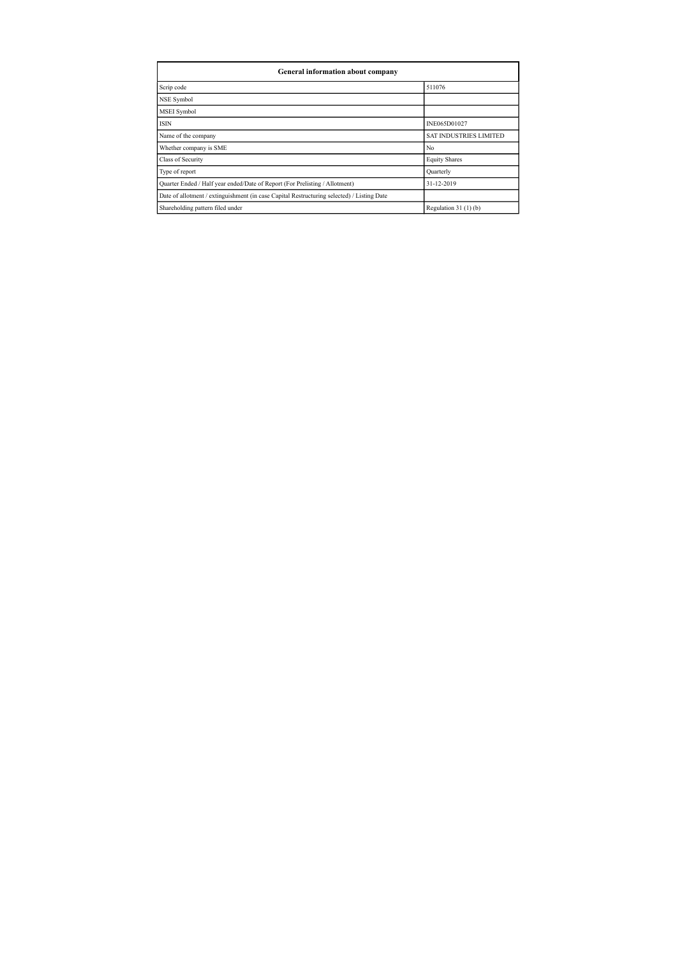| General information about company                                                          |                               |  |  |  |  |  |  |
|--------------------------------------------------------------------------------------------|-------------------------------|--|--|--|--|--|--|
| Scrip code                                                                                 | 511076                        |  |  |  |  |  |  |
| NSE Symbol                                                                                 |                               |  |  |  |  |  |  |
| <b>MSEI</b> Symbol                                                                         |                               |  |  |  |  |  |  |
| <b>ISIN</b>                                                                                | INE065D01027                  |  |  |  |  |  |  |
| Name of the company                                                                        | <b>SAT INDUSTRIES LIMITED</b> |  |  |  |  |  |  |
| Whether company is SME                                                                     | No                            |  |  |  |  |  |  |
| Class of Security                                                                          | <b>Equity Shares</b>          |  |  |  |  |  |  |
| Type of report                                                                             | Quarterly                     |  |  |  |  |  |  |
| Quarter Ended / Half year ended/Date of Report (For Prelisting / Allotment)                | 31-12-2019                    |  |  |  |  |  |  |
| Date of allotment / extinguishment (in case Capital Restructuring selected) / Listing Date |                               |  |  |  |  |  |  |
| Shareholding pattern filed under                                                           | Regulation $31(1)(b)$         |  |  |  |  |  |  |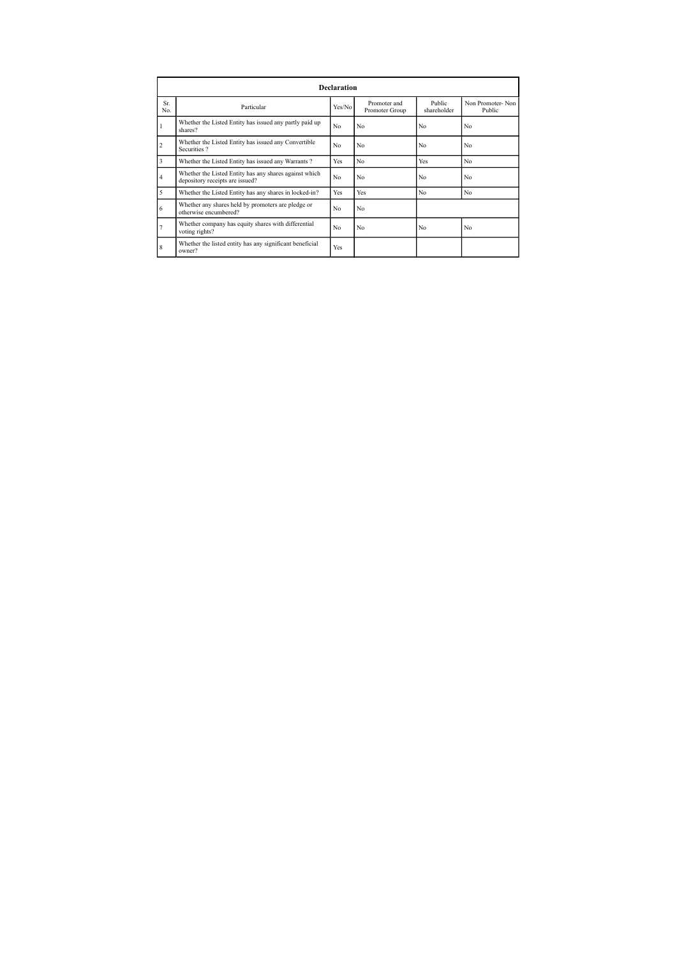|                | <b>Declaration</b>                                                                        |                |                                |                       |                            |  |  |  |  |
|----------------|-------------------------------------------------------------------------------------------|----------------|--------------------------------|-----------------------|----------------------------|--|--|--|--|
| Sr.<br>No.     | Particular                                                                                | Yes/No         | Promoter and<br>Promoter Group | Public<br>shareholder | Non Promoter-Non<br>Public |  |  |  |  |
|                | Whether the Listed Entity has issued any partly paid up<br>shares?                        | No             | No                             | No                    | No                         |  |  |  |  |
| $\overline{2}$ | Whether the Listed Entity has issued any Convertible<br>Securities?                       | No             | No                             | No                    | No                         |  |  |  |  |
| 3              | Whether the Listed Entity has issued any Warrants?                                        | Yes            | No                             | Yes                   | No                         |  |  |  |  |
| $\overline{4}$ | Whether the Listed Entity has any shares against which<br>depository receipts are issued? | No             | No                             | No                    | No                         |  |  |  |  |
| 5              | Whether the Listed Entity has any shares in locked-in?                                    | Yes            | Yes                            | No                    | No                         |  |  |  |  |
| 6              | Whether any shares held by promoters are pledge or<br>otherwise encumbered?               | N <sub>0</sub> | No                             |                       |                            |  |  |  |  |
| 7              | Whether company has equity shares with differential<br>voting rights?                     | No.            | No                             | No                    | No                         |  |  |  |  |
| 8              | Whether the listed entity has any significant beneficial<br>owner?                        | Yes            |                                |                       |                            |  |  |  |  |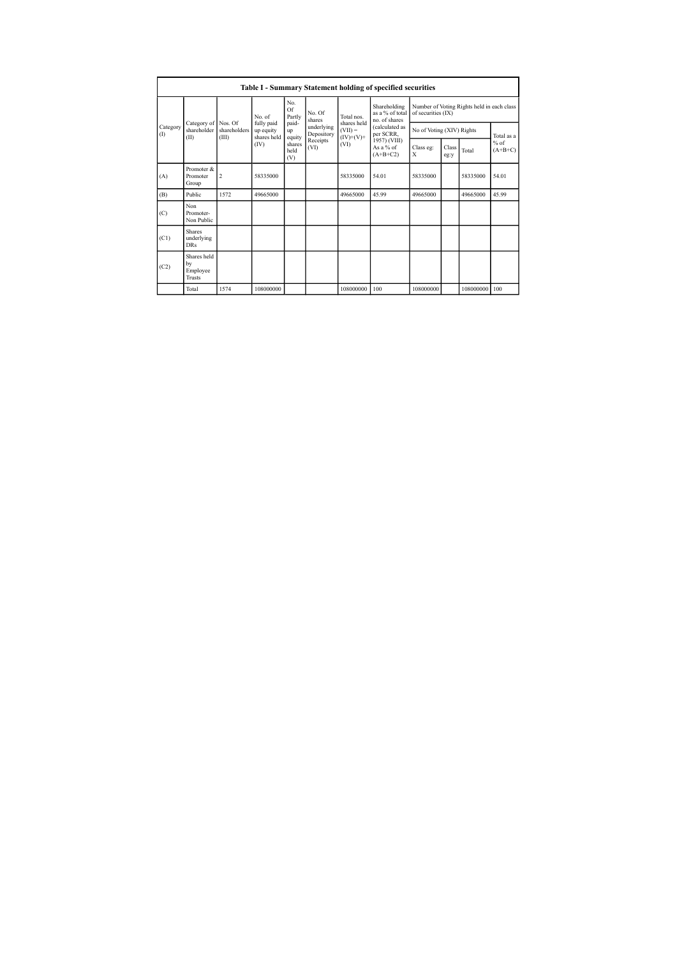|                   | Table I - Summary Statement holding of specified securities |                                                                                                                                                                                         |                |                                                                |                            |                |                                                  |                                                                  |                     |           |       |
|-------------------|-------------------------------------------------------------|-----------------------------------------------------------------------------------------------------------------------------------------------------------------------------------------|----------------|----------------------------------------------------------------|----------------------------|----------------|--------------------------------------------------|------------------------------------------------------------------|---------------------|-----------|-------|
|                   |                                                             |                                                                                                                                                                                         | No. of         | No.<br>Of<br>Partly                                            | No. Of<br>shares           | Total nos.     | Shareholding<br>as a % of total<br>no. of shares | Number of Voting Rights held in each class<br>of securities (IX) |                     |           |       |
| Category<br>$($ I | Category of<br>shareholder<br>(II)                          | shares held<br>fully paid<br>Nos. Of<br>paid-<br>underlying<br>$(VII) =$<br>shareholders<br>up equity<br>up<br>per SCRR,<br>Depository<br>$(IV)+(V)+$<br>shares held<br>(III)<br>equity | (calculated as | No of Voting (XIV) Rights                                      |                            | Total as a     |                                                  |                                                                  |                     |           |       |
|                   |                                                             |                                                                                                                                                                                         | (IV)           | Receipts<br>(VI)<br>shares<br>(VI)<br>As a % of<br>held<br>(V) | 1957) (VIII)<br>$(A+B+C2)$ | Class eg:<br>X | Class<br>eg:y                                    | Total                                                            | $%$ of<br>$(A+B+C)$ |           |       |
| (A)               | Promoter &<br>Promoter<br>Group                             | $\overline{c}$                                                                                                                                                                          | 58335000       |                                                                |                            | 58335000       | 54.01                                            | 58335000                                                         |                     | 58335000  | 54.01 |
| (B)               | Public                                                      | 1572                                                                                                                                                                                    | 49665000       |                                                                |                            | 49665000       | 45.99                                            | 49665000                                                         |                     | 49665000  | 45.99 |
| (C)               | Non<br>Promoter-<br>Non Public                              |                                                                                                                                                                                         |                |                                                                |                            |                |                                                  |                                                                  |                     |           |       |
| (C1)              | <b>Shares</b><br>underlying<br><b>DRs</b>                   |                                                                                                                                                                                         |                |                                                                |                            |                |                                                  |                                                                  |                     |           |       |
| (C2)              | Shares held<br>by<br>Employee<br><b>Trusts</b>              |                                                                                                                                                                                         |                |                                                                |                            |                |                                                  |                                                                  |                     |           |       |
|                   | Total                                                       | 1574                                                                                                                                                                                    | 108000000      |                                                                |                            | 108000000      | 100                                              | 108000000                                                        |                     | 108000000 | 100   |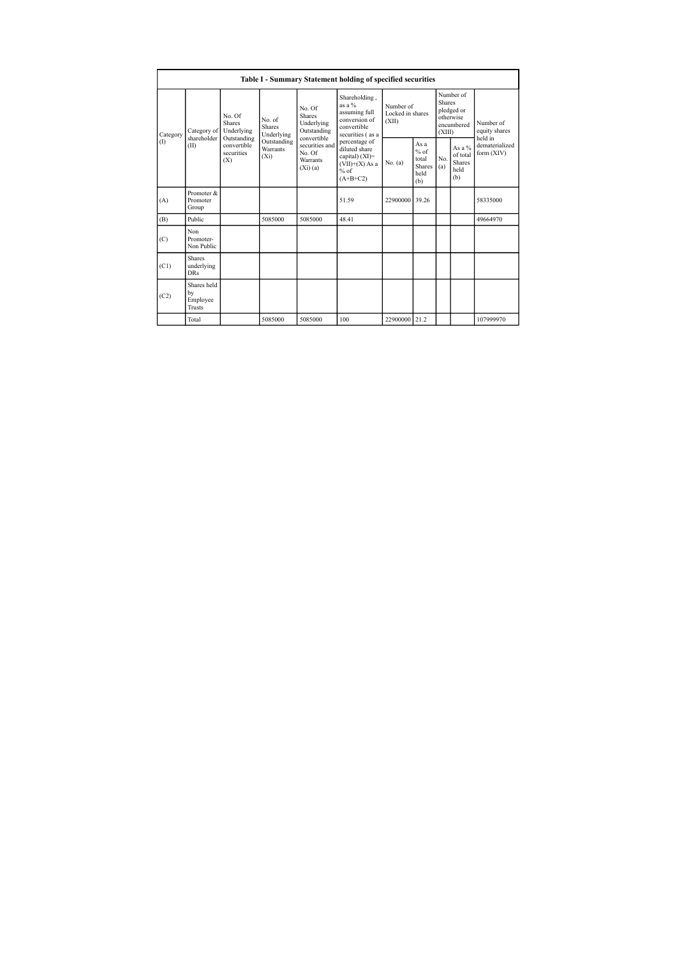|                 | Table I - Summary Statement holding of specified securities |                                                                                          |                                                                             |                                                                   |                                                                                              |                                        |                                                        |                                                                               |                                                       |                                         |
|-----------------|-------------------------------------------------------------|------------------------------------------------------------------------------------------|-----------------------------------------------------------------------------|-------------------------------------------------------------------|----------------------------------------------------------------------------------------------|----------------------------------------|--------------------------------------------------------|-------------------------------------------------------------------------------|-------------------------------------------------------|-----------------------------------------|
| Category<br>(1) | Category of<br>shareholder<br>(II)                          | No. Of<br><b>Shares</b><br>Underlying<br>Outstanding<br>convertible<br>securities<br>(X) | No. of<br><b>Shares</b><br>Underlying<br>Outstanding<br>Warrants<br>$(X_i)$ | No. Of<br><b>Shares</b><br>Underlying<br>Outstanding              | Shareholding,<br>as a %<br>assuming full<br>conversion of<br>convertible<br>securities (as a | Number of<br>Locked in shares<br>(XII) |                                                        | Number of<br><b>Shares</b><br>pledged or<br>otherwise<br>encumbered<br>(XIII) |                                                       | Number of<br>equity shares              |
|                 |                                                             |                                                                                          |                                                                             | convertible<br>securities and<br>No. Of<br>Warrants<br>$(Xi)$ (a) | percentage of<br>diluted share<br>capital) (XI)=<br>$(VII)+(X)$ As a<br>$%$ of<br>$(A+B+C2)$ | No. (a)                                | Asa<br>$%$ of<br>total<br><b>Shares</b><br>held<br>(b) | No.<br>(a)                                                                    | As a $\%$<br>of total<br><b>Shares</b><br>held<br>(b) | held in<br>dematerialized<br>form (XIV) |
| (A)             | Promoter &<br>Promoter<br>Group                             |                                                                                          |                                                                             |                                                                   | 51.59                                                                                        | 22900000 39.26                         |                                                        |                                                                               |                                                       | 58335000                                |
| (B)             | Public                                                      |                                                                                          | 5085000                                                                     | 5085000                                                           | 48.41                                                                                        |                                        |                                                        |                                                                               |                                                       | 49664970                                |
| (C)             | Non<br>Promoter-<br>Non Public                              |                                                                                          |                                                                             |                                                                   |                                                                                              |                                        |                                                        |                                                                               |                                                       |                                         |
| (C1)            | <b>Shares</b><br>underlying<br><b>DRs</b>                   |                                                                                          |                                                                             |                                                                   |                                                                                              |                                        |                                                        |                                                                               |                                                       |                                         |
| (C2)            | Shares held<br>by<br>Employee<br>Trusts                     |                                                                                          |                                                                             |                                                                   |                                                                                              |                                        |                                                        |                                                                               |                                                       |                                         |
|                 | Total                                                       |                                                                                          | 5085000                                                                     | 5085000                                                           | 100                                                                                          | 22900000 21.2                          |                                                        |                                                                               |                                                       | 107999970                               |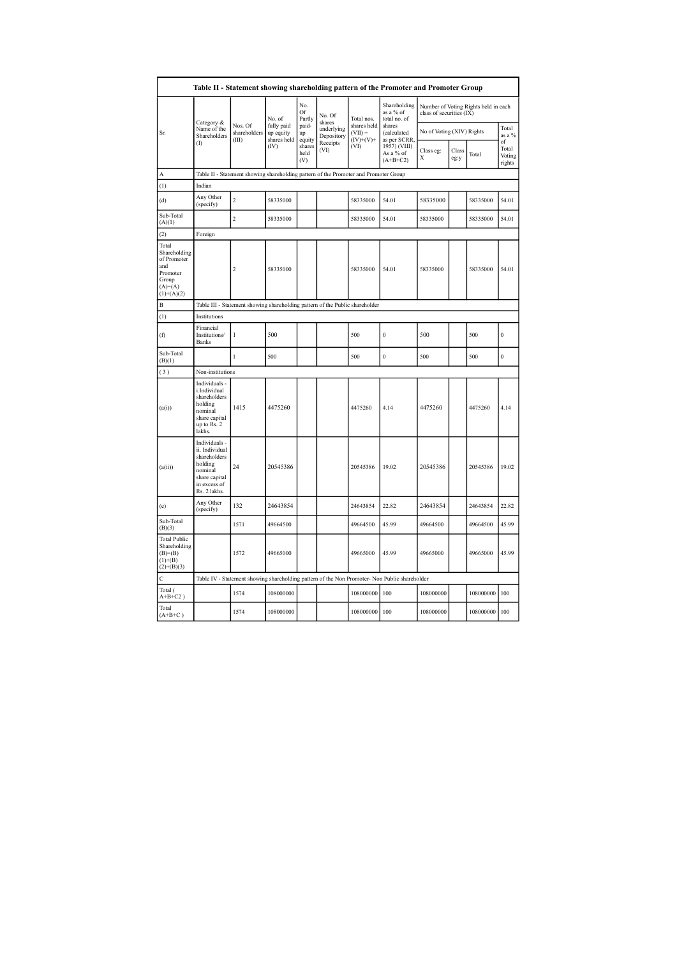| Table II - Statement showing shareholding pattern of the Promoter and Promoter Group          |                                                                                                                        |                                                                                      |                                        |                       |                                    |                                         |                                                                                               |                           |               |                                      |                                 |
|-----------------------------------------------------------------------------------------------|------------------------------------------------------------------------------------------------------------------------|--------------------------------------------------------------------------------------|----------------------------------------|-----------------------|------------------------------------|-----------------------------------------|-----------------------------------------------------------------------------------------------|---------------------------|---------------|--------------------------------------|---------------------------------|
|                                                                                               |                                                                                                                        |                                                                                      | No. of                                 | No.<br>Of<br>Partly   | No. Of                             | Total nos.                              | Shareholding<br>as a % of<br>total no. of                                                     | class of securities (IX)  |               | Number of Voting Rights held in each |                                 |
| Sr.                                                                                           | Category &<br>Name of the<br>Shareholders                                                                              | Nos. Of<br>shareholders<br>(III)                                                     | fully paid<br>up equity<br>shares held | paid-<br>up<br>equity | shares<br>underlying<br>Depository | shares held<br>$(VII) =$<br>$(IV)+(V)+$ | shares<br>(calculated<br>as per SCRR,                                                         | No of Voting (XIV) Rights |               |                                      | Total<br>as a %                 |
|                                                                                               | Œ                                                                                                                      |                                                                                      | (IV)                                   | shares<br>held<br>(V) | Receipts<br>(VI)                   | (VI)                                    | 1957) (VIII)<br>As a % of<br>$(A+B+C2)$                                                       | Class eg:<br>Х            | Class<br>eg:y | Total                                | of<br>Total<br>Voting<br>rights |
| A                                                                                             |                                                                                                                        | Table II - Statement showing shareholding pattern of the Promoter and Promoter Group |                                        |                       |                                    |                                         |                                                                                               |                           |               |                                      |                                 |
| (1)                                                                                           | Indian                                                                                                                 |                                                                                      |                                        |                       |                                    |                                         |                                                                                               |                           |               |                                      |                                 |
| (d)                                                                                           | Any Other<br>(specify)                                                                                                 | $\overline{c}$                                                                       | 58335000                               |                       |                                    | 58335000                                | 54.01                                                                                         | 58335000                  |               | 58335000                             | 54.01                           |
| Sub-Total<br>(A)(1)                                                                           |                                                                                                                        | $\overline{c}$                                                                       | 58335000                               |                       |                                    | 58335000                                | 54.01                                                                                         | 58335000                  |               | 58335000                             | 54.01                           |
| (2)                                                                                           | Foreign                                                                                                                |                                                                                      |                                        |                       |                                    |                                         |                                                                                               |                           |               |                                      |                                 |
| Total<br>Shareholding<br>of Promoter<br>and<br>Promoter<br>Group<br>$(A)=(A)$<br>$(1)+(A)(2)$ |                                                                                                                        | $\overline{c}$                                                                       | 58335000                               |                       |                                    | 58335000                                | 54.01                                                                                         | 58335000                  |               | 58335000                             | 54.01                           |
| $\overline{B}$                                                                                | Table III - Statement showing shareholding pattern of the Public shareholder                                           |                                                                                      |                                        |                       |                                    |                                         |                                                                                               |                           |               |                                      |                                 |
| (1)                                                                                           | Institutions                                                                                                           |                                                                                      |                                        |                       |                                    |                                         |                                                                                               |                           |               |                                      |                                 |
| (f)                                                                                           | Financial<br>Institutions/<br><b>Banks</b>                                                                             | $\mathbf{1}$                                                                         | 500                                    |                       |                                    | 500                                     | $\mathbf{0}$                                                                                  | 500                       |               | 500                                  | $\mathbf{0}$                    |
| Sub-Total<br>(B)(1)                                                                           |                                                                                                                        | 1                                                                                    | 500                                    |                       |                                    | 500                                     | $\bf{0}$                                                                                      | 500                       |               | 500                                  | $\mathbf{0}$                    |
| (3)                                                                                           | Non-institutions                                                                                                       |                                                                                      |                                        |                       |                                    |                                         |                                                                                               |                           |               |                                      |                                 |
| (a(i))                                                                                        | Individuals -<br>i.Individual<br>shareholders<br>holding<br>nominal<br>share capital<br>up to Rs. 2<br>lakhs.          | 1415                                                                                 | 4475260                                |                       |                                    | 4475260                                 | 4.14                                                                                          | 4475260                   |               | 4475260                              | 4.14                            |
| (a(ii))                                                                                       | Individuals -<br>ii. Individual<br>shareholders<br>holding<br>nominal<br>share capital<br>in excess of<br>Rs. 2 lakhs. | 24                                                                                   | 20545386                               |                       |                                    | 20545386                                | 19.02                                                                                         | 20545386                  |               | 20545386                             | 19.02                           |
| (e)                                                                                           | Any Other<br>(specify)                                                                                                 | 132                                                                                  | 24643854                               |                       |                                    | 24643854                                | 22.82                                                                                         | 24643854                  |               | 24643854                             | 22.82                           |
| Sub-Total<br>(B)(3)                                                                           |                                                                                                                        | 1571                                                                                 | 49664500                               |                       |                                    | 49664500                                | 45.99                                                                                         | 49664500                  |               | 49664500                             | 45.99                           |
| <b>Total Public</b><br>Shareholding<br>$(B)=B)$<br>$(1)+(B)$<br>$(2)+(B)(3)$                  |                                                                                                                        | 1572                                                                                 | 49665000                               |                       |                                    | 49665000                                | 45.99                                                                                         | 49665000                  |               | 49665000                             | 45.99                           |
| $\mathbf C$                                                                                   |                                                                                                                        |                                                                                      |                                        |                       |                                    |                                         | Table IV - Statement showing shareholding pattern of the Non Promoter- Non Public shareholder |                           |               |                                      |                                 |
| Total (<br>$A+B+C2$ )                                                                         |                                                                                                                        | 1574                                                                                 | 108000000                              |                       |                                    | 108000000                               | 100                                                                                           | 108000000                 |               | 108000000                            | 100                             |
| Total<br>$(A+B+C)$                                                                            |                                                                                                                        | 1574                                                                                 | 108000000                              |                       |                                    | 108000000                               | 100                                                                                           | 108000000                 |               | 108000000                            | 100                             |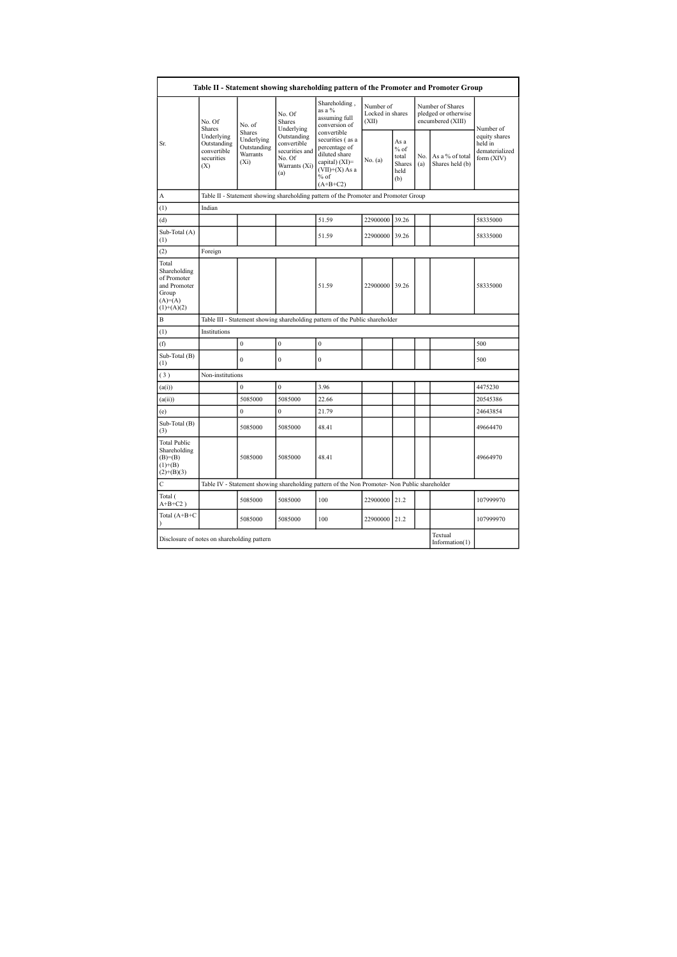| Table II - Statement showing shareholding pattern of the Promoter and Promoter Group        |                                                               |                                                                                      |                                                                                |                                                                                                                                 |                                        |                                                         |            |                                                               |                                                          |  |
|---------------------------------------------------------------------------------------------|---------------------------------------------------------------|--------------------------------------------------------------------------------------|--------------------------------------------------------------------------------|---------------------------------------------------------------------------------------------------------------------------------|----------------------------------------|---------------------------------------------------------|------------|---------------------------------------------------------------|----------------------------------------------------------|--|
|                                                                                             | No. Of<br>Shares                                              | No. of                                                                               | No. Of<br><b>Shares</b><br>Underlying                                          | Shareholding,<br>as a %<br>assuming full<br>conversion of                                                                       | Number of<br>Locked in shares<br>(XII) |                                                         |            | Number of Shares<br>pledged or otherwise<br>encumbered (XIII) | Number of                                                |  |
| Sr.                                                                                         | Underlying<br>Outstanding<br>convertible<br>securities<br>(X) | Shares<br>Underlying<br>Outstanding<br>Warrants<br>(X <sub>i</sub> )                 | Outstanding<br>convertible<br>securities and<br>No. Of<br>Warrants (Xi)<br>(a) | convertible<br>securities (as a<br>percentage of<br>diluted share<br>capital) (XI)=<br>$(VII)+(X)$ As a<br>$%$ of<br>$(A+B+C2)$ | No. (a)                                | As a<br>$%$ of<br>total<br><b>Shares</b><br>held<br>(b) | No.<br>(a) | As a % of total<br>Shares held (b)                            | equity shares<br>held in<br>dematerialized<br>form (XIV) |  |
| A                                                                                           |                                                               | Table II - Statement showing shareholding pattern of the Promoter and Promoter Group |                                                                                |                                                                                                                                 |                                        |                                                         |            |                                                               |                                                          |  |
| (1)                                                                                         | Indian                                                        |                                                                                      |                                                                                |                                                                                                                                 |                                        |                                                         |            |                                                               |                                                          |  |
| (d)                                                                                         |                                                               |                                                                                      |                                                                                | 51.59                                                                                                                           | 22900000                               | 39.26                                                   |            |                                                               | 58335000                                                 |  |
| Sub-Total (A)<br>(1)                                                                        |                                                               |                                                                                      |                                                                                | 51.59                                                                                                                           | 22900000 39.26                         |                                                         |            |                                                               | 58335000                                                 |  |
| (2)                                                                                         | Foreign                                                       |                                                                                      |                                                                                |                                                                                                                                 |                                        |                                                         |            |                                                               |                                                          |  |
| Total<br>Shareholding<br>of Promoter<br>and Promoter<br>Group<br>$(A)= (A)$<br>$(1)+(A)(2)$ |                                                               |                                                                                      |                                                                                | 51.59                                                                                                                           | 22900000 39.26                         |                                                         |            |                                                               | 58335000                                                 |  |
| $\overline{B}$                                                                              |                                                               |                                                                                      |                                                                                | Table III - Statement showing shareholding pattern of the Public shareholder                                                    |                                        |                                                         |            |                                                               |                                                          |  |
| (1)                                                                                         | Institutions                                                  |                                                                                      |                                                                                |                                                                                                                                 |                                        |                                                         |            |                                                               |                                                          |  |
| (f)                                                                                         |                                                               | $\bf{0}$                                                                             | $\boldsymbol{0}$                                                               | $\boldsymbol{0}$                                                                                                                |                                        |                                                         |            |                                                               | 500                                                      |  |
| Sub-Total (B)<br>$\left(1\right)$                                                           |                                                               | $\mathbf{0}$                                                                         | $\mathbf{0}$                                                                   | $\overline{0}$                                                                                                                  |                                        |                                                         |            |                                                               | 500                                                      |  |
| (3)                                                                                         | Non-institutions                                              |                                                                                      |                                                                                |                                                                                                                                 |                                        |                                                         |            |                                                               |                                                          |  |
| (a(i))                                                                                      |                                                               | $\theta$                                                                             | $\theta$                                                                       | 3.96                                                                                                                            |                                        |                                                         |            |                                                               | 4475230                                                  |  |
| (a(ii))                                                                                     |                                                               | 5085000                                                                              | 5085000                                                                        | 22.66                                                                                                                           |                                        |                                                         |            |                                                               | 20545386                                                 |  |
| (e)                                                                                         |                                                               | $\overline{0}$                                                                       | $\mathbf{0}$                                                                   | 21.79                                                                                                                           |                                        |                                                         |            |                                                               | 24643854                                                 |  |
| Sub-Total (B)<br>(3)                                                                        |                                                               | 5085000                                                                              | 5085000                                                                        | 48.41                                                                                                                           |                                        |                                                         |            |                                                               | 49664470                                                 |  |
| <b>Total Public</b><br>Shareholding<br>$(B)= (B)$<br>$(1)+(B)$<br>$(2)+(B)(3)$              |                                                               | 5085000                                                                              | 5085000                                                                        | 48.41                                                                                                                           |                                        |                                                         |            |                                                               | 49664970                                                 |  |
| Ċ                                                                                           |                                                               |                                                                                      |                                                                                | Table IV - Statement showing shareholding pattern of the Non Promoter- Non Public shareholder                                   |                                        |                                                         |            |                                                               |                                                          |  |
| Total (<br>$A+B+C2$ )                                                                       |                                                               | 5085000                                                                              | 5085000                                                                        | 100                                                                                                                             | 22900000 21.2                          |                                                         |            |                                                               | 107999970                                                |  |
| Total (A+B+C<br>$\lambda$                                                                   |                                                               | 5085000                                                                              | 5085000                                                                        | 100                                                                                                                             | 22900000 21.2                          |                                                         |            |                                                               | 107999970                                                |  |
| Disclosure of notes on shareholding pattern                                                 |                                                               |                                                                                      |                                                                                |                                                                                                                                 |                                        |                                                         |            | Textual<br>Information $(1)$                                  |                                                          |  |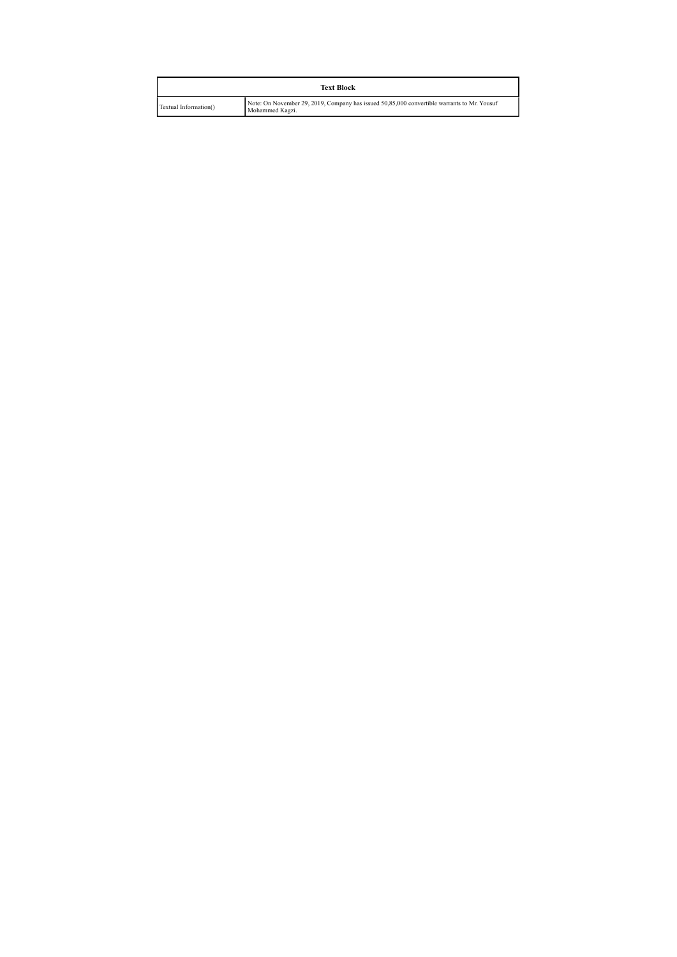|                       | <b>Text Block</b>                                                                                              |
|-----------------------|----------------------------------------------------------------------------------------------------------------|
| Textual Information() | Note: On November 29, 2019, Company has issued 50,85,000 convertible warrants to Mr. Yousuf<br>Mohammed Kagzi. |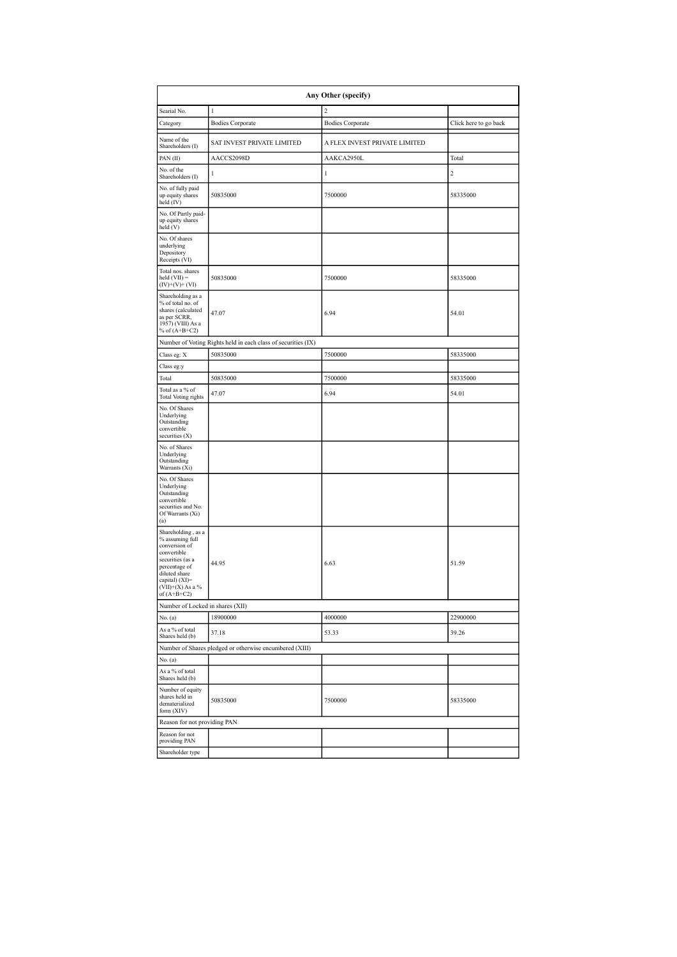| Any Other (specify)                                                                                                                                                                  |                                                               |                               |                       |  |  |  |  |  |
|--------------------------------------------------------------------------------------------------------------------------------------------------------------------------------------|---------------------------------------------------------------|-------------------------------|-----------------------|--|--|--|--|--|
| Searial No.                                                                                                                                                                          | $\,$ I                                                        | $\overline{c}$                |                       |  |  |  |  |  |
| Category                                                                                                                                                                             | <b>Bodies Corporate</b>                                       | <b>Bodies Corporate</b>       | Click here to go back |  |  |  |  |  |
| Name of the<br>Shareholders (I)                                                                                                                                                      | SAT INVEST PRIVATE LIMITED                                    | A FLEX INVEST PRIVATE LIMITED |                       |  |  |  |  |  |
| PAN (II)                                                                                                                                                                             | AACCS2098D                                                    | AAKCA2950L                    | Total                 |  |  |  |  |  |
| No. of the<br>Shareholders (I)                                                                                                                                                       | $\mathbf{1}$                                                  | $\mathbf{1}$                  | $\overline{c}$        |  |  |  |  |  |
| No. of fully paid<br>up equity shares<br>held (IV)                                                                                                                                   | 50835000                                                      | 7500000                       | 58335000              |  |  |  |  |  |
| No. Of Partly paid-<br>up equity shares<br>held(V)                                                                                                                                   |                                                               |                               |                       |  |  |  |  |  |
| No. Of shares<br>underlying<br>Depository<br>Receipts (VI)                                                                                                                           |                                                               |                               |                       |  |  |  |  |  |
| Total nos. shares<br>$held (VII) =$<br>$(IV)+(V)+(VI)$                                                                                                                               | 50835000                                                      | 7500000                       | 58335000              |  |  |  |  |  |
| Shareholding as a<br>% of total no. of<br>shares (calculated<br>as per SCRR,<br>1957) (VIII) As a<br>% of $(A+B+C2)$                                                                 | 47.07                                                         | 6.94                          | 54.01                 |  |  |  |  |  |
|                                                                                                                                                                                      | Number of Voting Rights held in each class of securities (IX) |                               |                       |  |  |  |  |  |
| Class eg: X                                                                                                                                                                          | 50835000                                                      | 7500000                       | 58335000              |  |  |  |  |  |
| Class eg:y                                                                                                                                                                           |                                                               |                               |                       |  |  |  |  |  |
| Total                                                                                                                                                                                | 50835000                                                      | 7500000                       | 58335000              |  |  |  |  |  |
| Total as a % of<br><b>Total Voting rights</b>                                                                                                                                        | 47.07                                                         | 6.94                          | 54.01                 |  |  |  |  |  |
| No. Of Shares<br>Underlying<br>Outstanding<br>convertible<br>securities (X)                                                                                                          |                                                               |                               |                       |  |  |  |  |  |
| No. of Shares<br>Underlying<br>Outstanding<br>Warrants (Xi)                                                                                                                          |                                                               |                               |                       |  |  |  |  |  |
| No. Of Shares<br>Underlying<br>Outstanding<br>convertible<br>securities and No.<br>Of Warrants (Xi)<br>(a)                                                                           |                                                               |                               |                       |  |  |  |  |  |
| Shareholding, as a<br>% assuming full<br>conversion of<br>convertible<br>securities (as a<br>percentage of<br>diluted share<br>capital) (XI)=<br>$(VII)+(X)$ As a %<br>of $(A+B+CZ)$ | 44.95                                                         | 6.63                          | 51.59                 |  |  |  |  |  |
| Number of Locked in shares (XII)                                                                                                                                                     |                                                               |                               |                       |  |  |  |  |  |
| No. (a)                                                                                                                                                                              | 18900000                                                      | 4000000                       | 22900000              |  |  |  |  |  |
| As a % of total<br>Shares held (b)                                                                                                                                                   | 37.18                                                         | 53.33                         | 39.26                 |  |  |  |  |  |
|                                                                                                                                                                                      | Number of Shares pledged or otherwise encumbered (XIII)       |                               |                       |  |  |  |  |  |
| No. (a)<br>As a % of total                                                                                                                                                           |                                                               |                               |                       |  |  |  |  |  |
| Shares held (b)<br>Number of equity<br>shares held in<br>dematerialized<br>form (XIV)                                                                                                | 50835000                                                      | 7500000                       | 58335000              |  |  |  |  |  |
| Reason for not providing PAN                                                                                                                                                         |                                                               |                               |                       |  |  |  |  |  |
| Reason for not<br>providing PAN                                                                                                                                                      |                                                               |                               |                       |  |  |  |  |  |
| Shareholder type                                                                                                                                                                     |                                                               |                               |                       |  |  |  |  |  |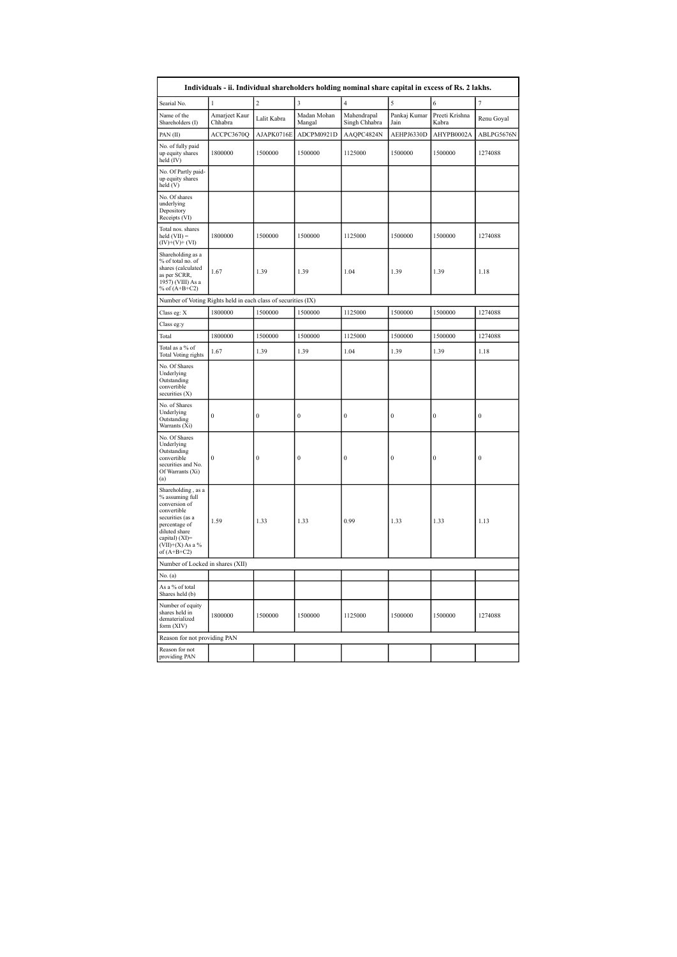|                                                                                                                                                                                      |                          |                |                       | Individuals - ii. Individual shareholders holding nominal share capital in excess of Rs. 2 lakhs. |                      |                         |                  |
|--------------------------------------------------------------------------------------------------------------------------------------------------------------------------------------|--------------------------|----------------|-----------------------|---------------------------------------------------------------------------------------------------|----------------------|-------------------------|------------------|
| Searial No.                                                                                                                                                                          |                          | $\overline{c}$ | 3                     | 4                                                                                                 | 5                    | 6                       |                  |
| Name of the<br>Shareholders (I)                                                                                                                                                      | Amarjeet Kaur<br>Chhabra | Lalit Kabra    | Madan Mohan<br>Mangal | Mahendrapal<br>Singh Chhabra                                                                      | Pankaj Kumar<br>Jain | Preeti Krishna<br>Kabra | Renu Goyal       |
| PAN(II)                                                                                                                                                                              | ACCPC3670Q               | AJAPK0716E     | ADCPM0921D            | AAQPC4824N                                                                                        | AEHPJ6330D           | AHYPB0002A              | ABLPG5676N       |
| No. of fully paid<br>up equity shares<br>held (IV)                                                                                                                                   | 1800000                  | 1500000        | 1500000               | 1125000                                                                                           | 1500000              | 1500000                 | 1274088          |
| No. Of Partly paid-<br>up equity shares<br>held (V)                                                                                                                                  |                          |                |                       |                                                                                                   |                      |                         |                  |
| No. Of shares<br>underlying<br>Depository<br>Receipts (VI)                                                                                                                           |                          |                |                       |                                                                                                   |                      |                         |                  |
| Total nos. shares<br>$held (VII) =$<br>$(IV)+(V)+(VI)$                                                                                                                               | 1800000                  | 1500000        | 1500000               | 1125000                                                                                           | 1500000              | 1500000                 | 1274088          |
| Shareholding as a<br>% of total no. of<br>shares (calculated<br>as per SCRR,<br>1957) (VIII) As a<br>% of $(A+B+C2)$                                                                 | 1.67                     | 1.39           | 1.39                  | 1.04                                                                                              | 1.39                 | 1.39                    | 1.18             |
| Number of Voting Rights held in each class of securities (IX)                                                                                                                        |                          |                |                       |                                                                                                   |                      |                         |                  |
| Class eg: X                                                                                                                                                                          | 1800000                  | 1500000        | 1500000               | 1125000                                                                                           | 1500000              | 1500000                 | 1274088          |
| Class eg:y                                                                                                                                                                           |                          |                |                       |                                                                                                   |                      |                         |                  |
| Total                                                                                                                                                                                | 1800000                  | 1500000        | 1500000               | 1125000                                                                                           | 1500000              | 1500000                 | 1274088          |
| Total as a % of<br><b>Total Voting rights</b>                                                                                                                                        | 1.67                     | 1.39           | 1.39                  | 1.04                                                                                              | 1.39                 | 1.39                    | 1.18             |
| No. Of Shares<br>Underlying<br>Outstanding<br>convertible<br>securities (X)                                                                                                          |                          |                |                       |                                                                                                   |                      |                         |                  |
| No. of Shares<br>Underlying<br>Outstanding<br>Warrants (Xi)                                                                                                                          | $\mathbf{0}$             | $\bf{0}$       | $\bf{0}$              | $\bf{0}$                                                                                          | $\bf{0}$             | $\bf{0}$                | $\boldsymbol{0}$ |
| No. Of Shares<br>Underlying<br>Outstanding<br>convertible<br>securities and No.<br>Of Warrants (Xi)<br>(a)                                                                           | $\mathbf{0}$             | $\theta$       | $\overline{0}$        | $\overline{0}$                                                                                    | $\overline{0}$       | $\mathbf{0}$            | $\overline{0}$   |
| Shareholding, as a<br>% assuming full<br>conversion of<br>convertible<br>securities (as a<br>percentage of<br>diluted share<br>capital) (XI)=<br>$(VII)+(X)$ As a %<br>of $(A+B+C2)$ | 1.59                     | 1.33           | 1.33                  | 0.99                                                                                              | 1.33                 | 1.33                    | 1.13             |
| Number of Locked in shares (XII)                                                                                                                                                     |                          |                |                       |                                                                                                   |                      |                         |                  |
| No. (a)                                                                                                                                                                              |                          |                |                       |                                                                                                   |                      |                         |                  |
| As a % of total<br>Shares held (b)                                                                                                                                                   |                          |                |                       |                                                                                                   |                      |                         |                  |
| Number of equity<br>shares held in<br>dematerialized<br>form (XIV)                                                                                                                   | 1800000                  | 1500000        | 1500000               | 1125000                                                                                           | 1500000              | 1500000                 | 1274088          |
| Reason for not providing PAN                                                                                                                                                         |                          |                |                       |                                                                                                   |                      |                         |                  |
| Reason for not<br>providing PAN                                                                                                                                                      |                          |                |                       |                                                                                                   |                      |                         |                  |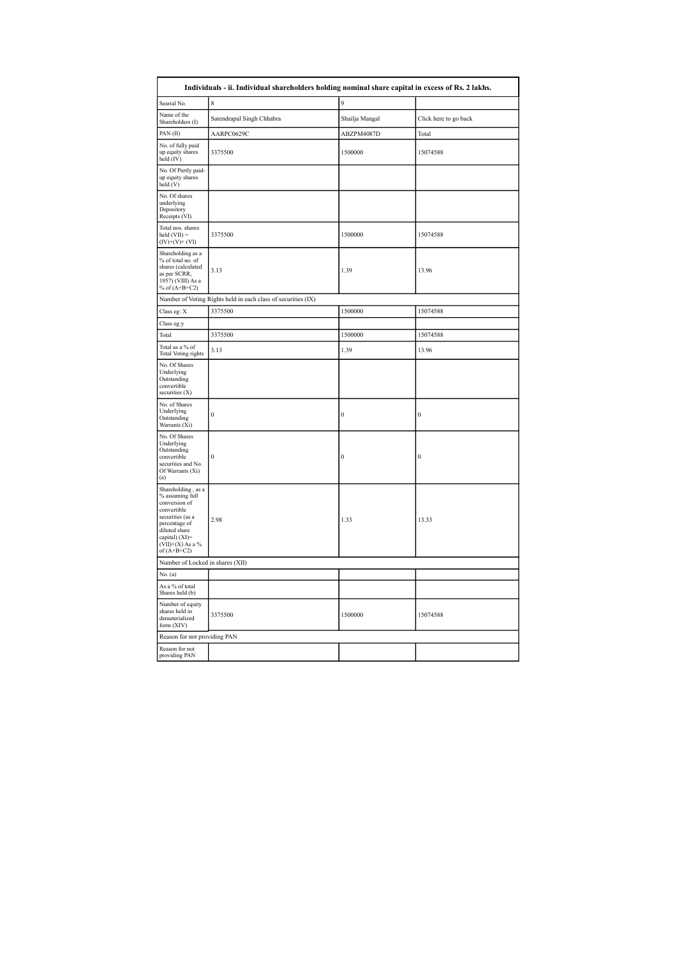| Individuals - ii. Individual shareholders holding nominal share capital in excess of Rs. 2 lakhs.                                                                                    |                                                               |                |                       |  |  |  |  |  |  |
|--------------------------------------------------------------------------------------------------------------------------------------------------------------------------------------|---------------------------------------------------------------|----------------|-----------------------|--|--|--|--|--|--|
| Searial No.                                                                                                                                                                          | 8                                                             | 9              |                       |  |  |  |  |  |  |
| Name of the<br>Shareholders (I)                                                                                                                                                      | Satendrapal Singh Chhabra                                     | Shailja Mangal | Click here to go back |  |  |  |  |  |  |
| PAN (II)                                                                                                                                                                             | AARPC0629C                                                    | ABZPM4087D     | Total                 |  |  |  |  |  |  |
| No. of fully paid<br>up equity shares<br>held $(IV)$                                                                                                                                 | 3375500                                                       | 1500000        | 15074588              |  |  |  |  |  |  |
| No. Of Partly paid-<br>up equity shares<br>held (V)                                                                                                                                  |                                                               |                |                       |  |  |  |  |  |  |
| No. Of shares<br>underlying<br>Depository<br>Receipts (VI)                                                                                                                           |                                                               |                |                       |  |  |  |  |  |  |
| Total nos. shares<br>$\text{held (VII)} =$<br>$(IV)+(V)+(VI)$                                                                                                                        | 3375500                                                       | 1500000        | 15074588              |  |  |  |  |  |  |
| Shareholding as a<br>% of total no. of<br>shares (calculated<br>as per SCRR,<br>1957) (VIII) As a<br>% of $(A+B+C2)$                                                                 | 3.13                                                          | 1.39           | 13.96                 |  |  |  |  |  |  |
|                                                                                                                                                                                      | Number of Voting Rights held in each class of securities (IX) |                |                       |  |  |  |  |  |  |
| Class eg: X                                                                                                                                                                          | 3375500                                                       | 1500000        | 15074588              |  |  |  |  |  |  |
| Class eg:y                                                                                                                                                                           |                                                               |                |                       |  |  |  |  |  |  |
| Total                                                                                                                                                                                | 3375500                                                       | 1500000        | 15074588              |  |  |  |  |  |  |
| Total as a % of<br><b>Total Voting rights</b>                                                                                                                                        | 3.13                                                          | 1.39           | 13.96                 |  |  |  |  |  |  |
| No. Of Shares<br>Underlying<br>Outstanding<br>convertible<br>securities (X)                                                                                                          |                                                               |                |                       |  |  |  |  |  |  |
| No. of Shares<br>Underlying<br>Outstanding<br>Warrants (Xi)                                                                                                                          | $\boldsymbol{0}$                                              | $\bf{0}$       | $\mathbf{0}$          |  |  |  |  |  |  |
| No. Of Shares<br>Underlying<br>Outstanding<br>convertible<br>securities and No.<br>Of Warrants (Xi)<br>(a)                                                                           | $\boldsymbol{0}$                                              | $\bf{0}$       | $\bf{0}$              |  |  |  |  |  |  |
| Shareholding, as a<br>% assuming full<br>conversion of<br>convertible<br>securities (as a<br>percentage of<br>diluted share<br>capital) (XI)=<br>$(VII)+(X)$ As a %<br>of $(A+B+C2)$ | 2.98                                                          | 1.33           | 13.33                 |  |  |  |  |  |  |
| Number of Locked in shares (XII)                                                                                                                                                     |                                                               |                |                       |  |  |  |  |  |  |
| No. (a)                                                                                                                                                                              |                                                               |                |                       |  |  |  |  |  |  |
| As a % of total<br>Shares held (b)                                                                                                                                                   |                                                               |                |                       |  |  |  |  |  |  |
| Number of equity<br>shares held in<br>dematerialized<br>form (XIV)                                                                                                                   | 3375500                                                       | 1500000        | 15074588              |  |  |  |  |  |  |
| Reason for not providing PAN                                                                                                                                                         |                                                               |                |                       |  |  |  |  |  |  |
| Reason for not<br>providing PAN                                                                                                                                                      |                                                               |                |                       |  |  |  |  |  |  |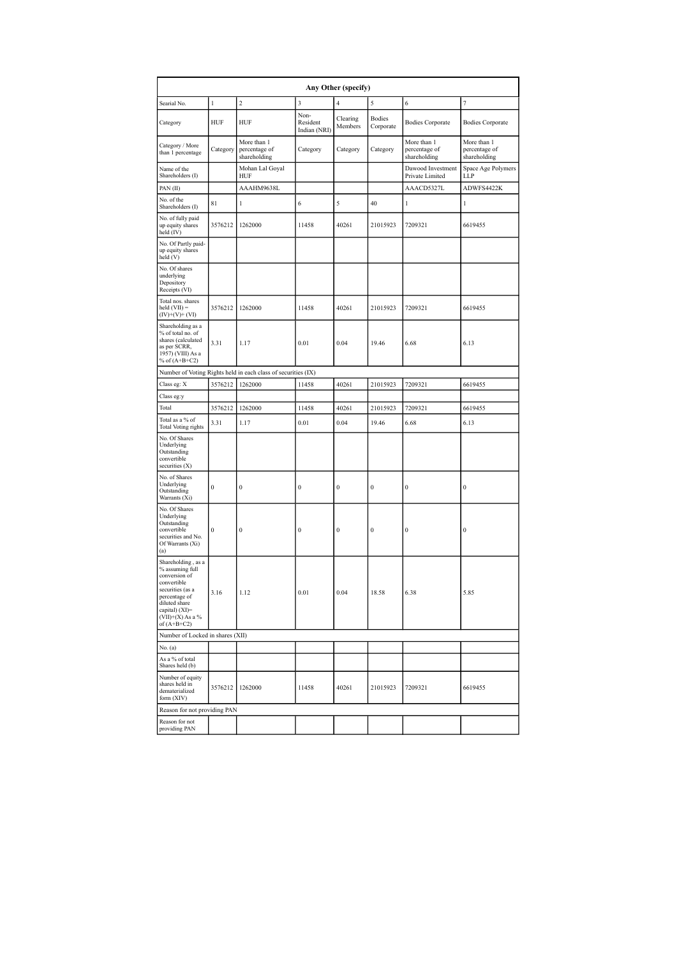| Any Other (specify)                                                                                                                                                                  |                  |                                                               |                                  |                     |                     |                                              |                                              |  |  |
|--------------------------------------------------------------------------------------------------------------------------------------------------------------------------------------|------------------|---------------------------------------------------------------|----------------------------------|---------------------|---------------------|----------------------------------------------|----------------------------------------------|--|--|
| Searial No.                                                                                                                                                                          | 1                | $\overline{c}$                                                | 3                                | $\overline{4}$      | 5                   | 6                                            | 7                                            |  |  |
| Category                                                                                                                                                                             | HUF              | HUF                                                           | Non-<br>Resident<br>Indian (NRI) | Clearing<br>Members | Bodies<br>Corporate | <b>Bodies Corporate</b>                      | <b>Bodies Corporate</b>                      |  |  |
| Category / More<br>than 1 percentage                                                                                                                                                 | Category         | More than 1<br>percentage of<br>shareholding                  | Category                         | Category            | Category            | More than 1<br>percentage of<br>shareholding | More than 1<br>percentage of<br>shareholding |  |  |
| Name of the<br>Shareholders (I)                                                                                                                                                      |                  | Mohan Lal Goyal<br>HUF                                        |                                  |                     |                     | Dawood Investment<br>Private Limited         | Space Age Polymers<br>LLP                    |  |  |
| PAN(II)                                                                                                                                                                              |                  | AAAHM9638L                                                    |                                  |                     |                     | AAACD5327L                                   | ADWFS4422K                                   |  |  |
| No. of the<br>Shareholders (I)                                                                                                                                                       | 81               | 1                                                             | 6                                | 5                   | 40                  | 1                                            | 1                                            |  |  |
| No. of fully paid<br>up equity shares<br>held (IV)                                                                                                                                   | 3576212          | 1262000                                                       | 11458                            | 40261               | 21015923            | 7209321                                      | 6619455                                      |  |  |
| No. Of Partly paid-<br>up equity shares<br>held (V)                                                                                                                                  |                  |                                                               |                                  |                     |                     |                                              |                                              |  |  |
| No. Of shares<br>underlying<br>Depository<br>Receipts (VI)                                                                                                                           |                  |                                                               |                                  |                     |                     |                                              |                                              |  |  |
| Total nos. shares<br>$held (VII) =$<br>$(IV)+(V)+(VI)$                                                                                                                               | 3576212          | 1262000                                                       | 11458                            | 40261               | 21015923            | 7209321                                      | 6619455                                      |  |  |
| Shareholding as a<br>% of total no. of<br>shares (calculated<br>as per SCRR,<br>1957) (VIII) As a<br>% of $(A+B+C2)$                                                                 | 3.31             | 1.17                                                          | 0.01                             | 0.04                | 19.46               | 6.68                                         | 6.13                                         |  |  |
|                                                                                                                                                                                      |                  | Number of Voting Rights held in each class of securities (IX) |                                  |                     |                     |                                              |                                              |  |  |
| Class eg: X                                                                                                                                                                          | 3576212          | 1262000                                                       | 11458                            | 40261               | 21015923            | 7209321                                      | 6619455                                      |  |  |
| Class eg:y                                                                                                                                                                           |                  |                                                               |                                  |                     |                     |                                              |                                              |  |  |
| Total                                                                                                                                                                                | 3576212          | 1262000                                                       | 11458                            | 40261               | 21015923            | 7209321                                      | 6619455                                      |  |  |
| Total as a % of<br><b>Total Voting rights</b>                                                                                                                                        | 3.31             | 1.17                                                          | 0.01                             | 0.04                | 19.46               | 6.68                                         | 6.13                                         |  |  |
| No. Of Shares<br>Underlying<br>Outstanding<br>convertible<br>securities (X)                                                                                                          |                  |                                                               |                                  |                     |                     |                                              |                                              |  |  |
| No. of Shares<br>Underlying<br>Outstanding<br>Warrants (Xi)                                                                                                                          | $\bf{0}$         | $\bf{0}$                                                      | $\bf{0}$                         | $\bf{0}$            | $\bf{0}$            | $\bf{0}$                                     | $\bf{0}$                                     |  |  |
| No. Of Shares<br>Underlying<br>Outstanding<br>convertible<br>securities and No.<br>Of Warrants (Xi)<br>(a)                                                                           | $\boldsymbol{0}$ | $\bf{0}$                                                      | $\bf{0}$                         | $\boldsymbol{0}$    | $\bf{0}$            | $\bf{0}$                                     | $\bf{0}$                                     |  |  |
| Shareholding, as a<br>% assuming full<br>conversion of<br>convertible<br>securities (as a<br>percentage of<br>diluted share<br>capital) (XI)=<br>$(VII)+(X)$ As a %<br>of $(A+B+C2)$ | 3.16             | 1.12                                                          | 0.01                             | 0.04                | 18.58               | 6.38                                         | 5.85                                         |  |  |
| Number of Locked in shares (XII)                                                                                                                                                     |                  |                                                               |                                  |                     |                     |                                              |                                              |  |  |
| No. (a)                                                                                                                                                                              |                  |                                                               |                                  |                     |                     |                                              |                                              |  |  |
| As a % of total<br>Shares held (b)                                                                                                                                                   |                  |                                                               |                                  |                     |                     |                                              |                                              |  |  |
| Number of equity<br>shares held in<br>dematerialized<br>form (XIV)                                                                                                                   | 3576212          | 1262000                                                       | 11458                            | 40261               | 21015923            | 7209321                                      | 6619455                                      |  |  |
| Reason for not providing PAN                                                                                                                                                         |                  |                                                               |                                  |                     |                     |                                              |                                              |  |  |
| Reason for not<br>providing PAN                                                                                                                                                      |                  |                                                               |                                  |                     |                     |                                              |                                              |  |  |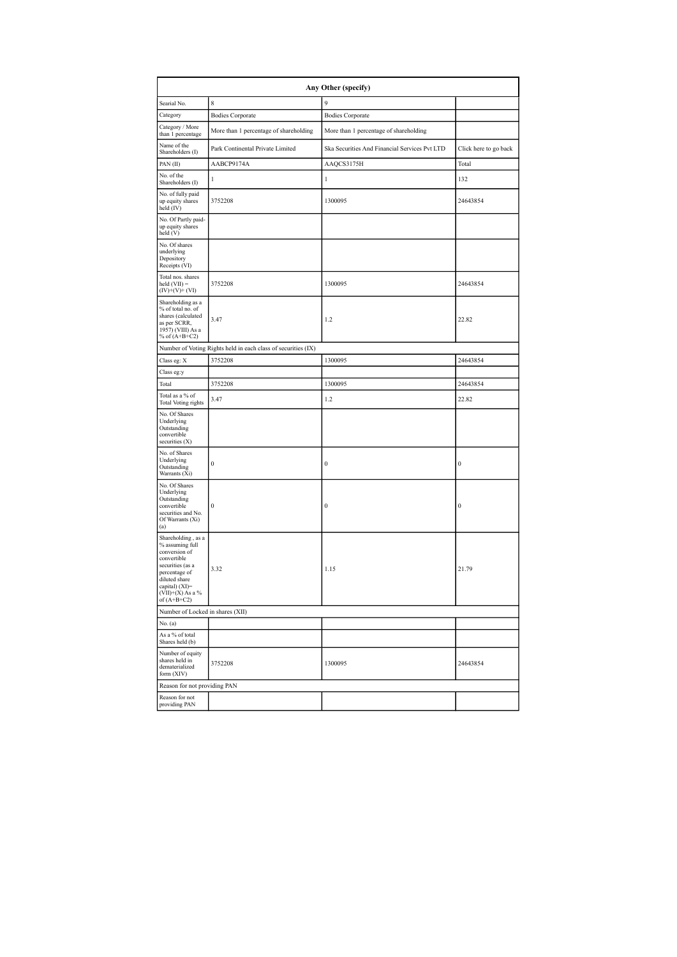| Any Other (specify)                                                                                                                                                                  |                                                               |                                               |                       |  |  |  |  |  |
|--------------------------------------------------------------------------------------------------------------------------------------------------------------------------------------|---------------------------------------------------------------|-----------------------------------------------|-----------------------|--|--|--|--|--|
| Searial No.                                                                                                                                                                          | 8                                                             | 9                                             |                       |  |  |  |  |  |
| Category                                                                                                                                                                             | <b>Bodies Corporate</b>                                       | <b>Bodies Corporate</b>                       |                       |  |  |  |  |  |
| Category / More<br>than 1 percentage                                                                                                                                                 | More than 1 percentage of shareholding                        | More than 1 percentage of shareholding        |                       |  |  |  |  |  |
| Name of the<br>Shareholders (I)                                                                                                                                                      | Park Continental Private Limited                              | Ska Securities And Financial Services Pvt LTD | Click here to go back |  |  |  |  |  |
| PAN(II)                                                                                                                                                                              | AABCP9174A                                                    | AAQCS3175H                                    | Total                 |  |  |  |  |  |
| No. of the<br>Shareholders (I)                                                                                                                                                       | 1                                                             | 1                                             | 132                   |  |  |  |  |  |
| No. of fully paid<br>up equity shares<br>held (IV)                                                                                                                                   | 3752208                                                       | 1300095                                       | 24643854              |  |  |  |  |  |
| No. Of Partly paid-<br>up equity shares<br>held (V)                                                                                                                                  |                                                               |                                               |                       |  |  |  |  |  |
| No. Of shares<br>underlying<br>Depository<br>Receipts (VI)                                                                                                                           |                                                               |                                               |                       |  |  |  |  |  |
| Total nos. shares<br>$held (VII) =$<br>$(IV)+(V)+(VI)$                                                                                                                               | 3752208                                                       | 1300095                                       | 24643854              |  |  |  |  |  |
| Shareholding as a<br>% of total no. of<br>shares (calculated<br>as per SCRR,<br>1957) (VIII) As a<br>% of $(A+B+C2)$                                                                 | 3.47                                                          | 1.2                                           | 22.82                 |  |  |  |  |  |
|                                                                                                                                                                                      | Number of Voting Rights held in each class of securities (IX) |                                               |                       |  |  |  |  |  |
| Class eg: X                                                                                                                                                                          | 3752208                                                       | 1300095                                       | 24643854              |  |  |  |  |  |
| Class eg:y                                                                                                                                                                           |                                                               |                                               |                       |  |  |  |  |  |
| Total                                                                                                                                                                                | 3752208                                                       | 1300095                                       | 24643854              |  |  |  |  |  |
| Total as a % of<br><b>Total Voting rights</b>                                                                                                                                        | 3.47                                                          | 1.2                                           | 22.82                 |  |  |  |  |  |
| No. Of Shares<br>Underlying<br>Outstanding<br>convertible<br>securities (X)                                                                                                          |                                                               |                                               |                       |  |  |  |  |  |
| No. of Shares<br>Underlying<br>Outstanding<br>Warrants (Xi)                                                                                                                          | $\bf{0}$                                                      | $\bf{0}$                                      | $\boldsymbol{0}$      |  |  |  |  |  |
| No. Of Shares<br>Underlying<br>Outstanding<br>convertible<br>securities and No.<br>Of Warrants (Xi)<br>(a)                                                                           | $\bf{0}$                                                      | $\bf{0}$                                      | $\boldsymbol{0}$      |  |  |  |  |  |
| Shareholding, as a<br>% assuming full<br>conversion of<br>convertible<br>securities (as a<br>percentage of<br>diluted share<br>capital) (XI)=<br>$(VII)+(X)$ As a %<br>of $(A+B+C2)$ | 3.32                                                          | 1.15                                          | 21.79                 |  |  |  |  |  |
| Number of Locked in shares (XII)                                                                                                                                                     |                                                               |                                               |                       |  |  |  |  |  |
| No. (a)                                                                                                                                                                              |                                                               |                                               |                       |  |  |  |  |  |
| As a % of total<br>Shares held (b)                                                                                                                                                   |                                                               |                                               |                       |  |  |  |  |  |
| Number of equity<br>shares held in<br>dematerialized<br>form (XIV)                                                                                                                   | 3752208                                                       | 1300095                                       | 24643854              |  |  |  |  |  |
| Reason for not providing PAN                                                                                                                                                         |                                                               |                                               |                       |  |  |  |  |  |
| Reason for not<br>providing PAN                                                                                                                                                      |                                                               |                                               |                       |  |  |  |  |  |